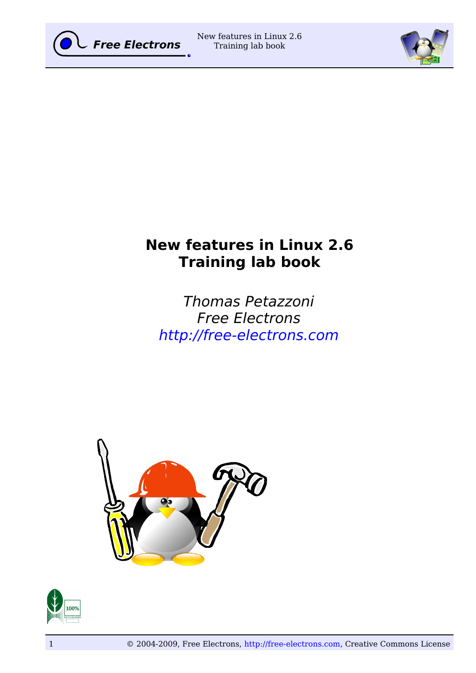



# **New features in Linux 2.6 Training lab book**

Thomas Petazzoni Free Electrons [http://free-electrons.com](http://free-electrons.com/)



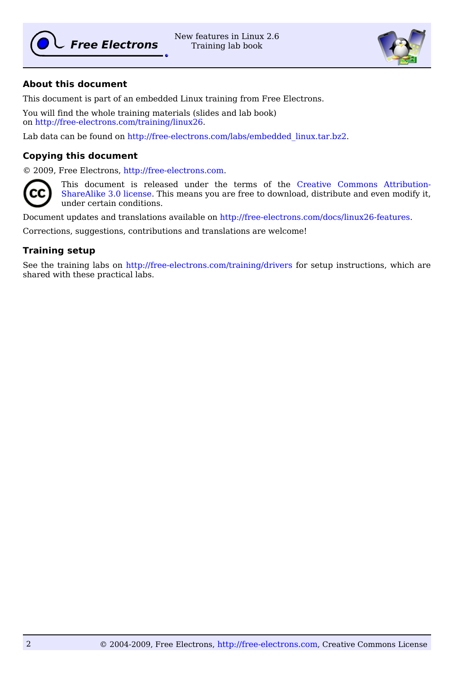

New features in Linux 2.6 Training lab book



# **About this document**

This document is part of an embedded Linux training from Free Electrons.

You will find the whole training materials (slides and lab book) on [http://free-electrons.com/training/linux26.](http://free-electrons.com/training/linux26)

Lab data can be found on [http://free-electrons.com/labs/embedded\\_linux.tar.bz2.](http://free-electrons.com/labs/embedded_linux.tar.bz2)

#### **Copying this document**

© 2009, Free Electrons, [http://free-electrons.com.](http://free-electrons.com/)



This document is released under the terms of the [Creative Commons Attribution-](http://creativecommons.org/licenses/by-sa/3.0/)[ShareAlike 3.0 license.](http://creativecommons.org/licenses/by-sa/3.0/) This means you are free to download, distribute and even modify it, under certain conditions.

Document updates and translations available on [http://free-electrons.com/docs/linux26-features.](http://free-electrons.com/docs/linux26-features)

Corrections, suggestions, contributions and translations are welcome!

## **Training setup**

See the training labs on<http://free-electrons.com/training/drivers>for setup instructions, which are shared with these practical labs.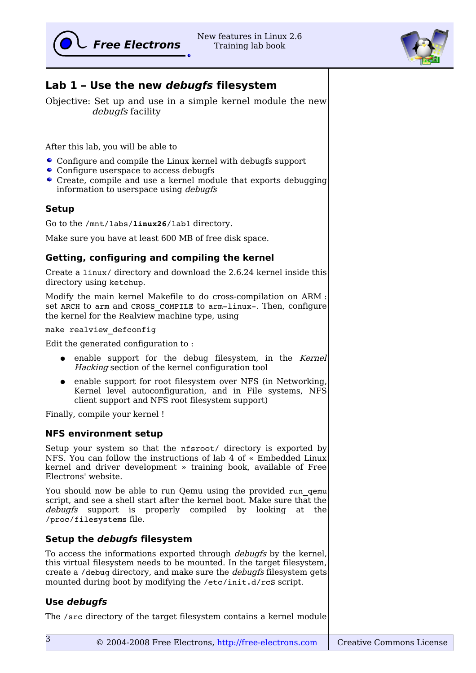

# **Lab 1 – Use the new debugfs filesystem**

Objective: Set up and use in a simple kernel module the new debugfs facility

After this lab, you will be able to

- Configure and compile the Linux kernel with debugfs support
- Configure userspace to access debugfs
- Create, compile and use a kernel module that exports debugging information to userspace using debugfs

# **Setup**

Go to the /mnt/labs/**linux26**/lab1 directory.

Make sure you have at least 600 MB of free disk space.

# **Getting, configuring and compiling the kernel**

Create a linux/ directory and download the 2.6.24 kernel inside this directory using ketchup.

Modify the main kernel Makefile to do cross-compilation on ARM : set ARCH to arm and CROSS COMPILE to arm-linux-. Then, configure the kernel for the Realview machine type, using

make realview\_defconfig

Edit the generated configuration to :

- enable support for the debug filesystem, in the Kernel Hacking section of the kernel configuration tool
- enable support for root filesystem over NFS (in Networking, Kernel level autoconfiguration, and in File systems, NFS client support and NFS root filesystem support)

Finally, compile your kernel !

## **NFS environment setup**

Setup your system so that the nfsroot/ directory is exported by NFS. You can follow the instructions of lab 4 of « Embedded Linux kernel and driver development » training book, available of Free Electrons' website.

You should now be able to run Qemu using the provided run gemu script, and see a shell start after the kernel boot. Make sure that the debugfs support is properly compiled by looking at the /proc/filesystems file.

# **Setup the debugfs filesystem**

To access the informations exported through debugfs by the kernel, this virtual filesystem needs to be mounted. In the target filesystem, create a /debug directory, and make sure the *debugfs* filesystem gets mounted during boot by modifying the /etc/init.d/rcS script.

## **Use debugfs**

The /src directory of the target filesystem contains a kernel module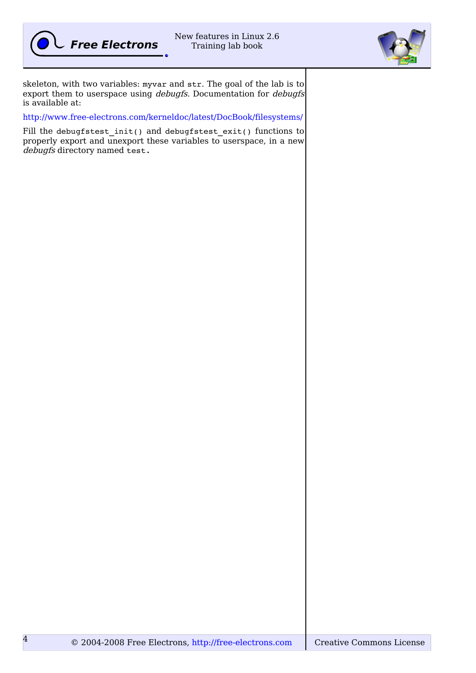

4



skeleton, with two variables: myvar and str. The goal of the lab is to export them to userspace using *debugfs*. Documentation for *debugfs* is available at:

<http://www.free-electrons.com/kerneldoc/latest/DocBook/filesystems/>

Fill the debugfstest\_init() and debugfstest\_exit() functions to properly export and unexport these variables to userspace, in a new debugfs directory named test.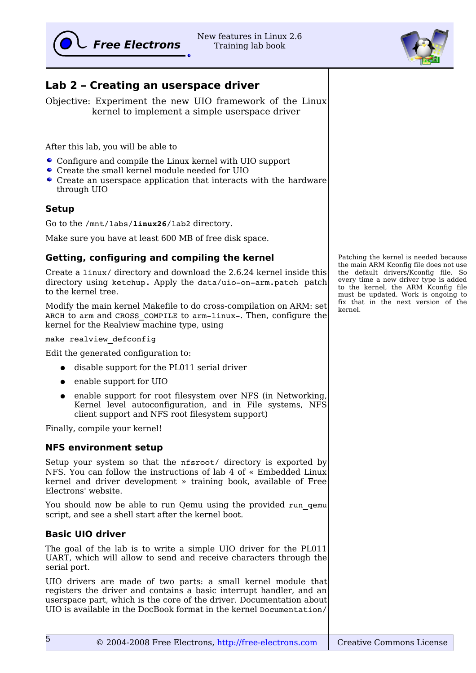# **Lab 2 – Creating an userspace driver**

Objective: Experiment the new UIO framework of the Linux kernel to implement a simple userspace driver

After this lab, you will be able to

- Configure and compile the Linux kernel with UIO support
- Create the small kernel module needed for UIO
- Create an userspace application that interacts with the hardware through UIO

## **Setup**

Go to the /mnt/labs/**linux26**/lab2 directory.

Make sure you have at least 600 MB of free disk space.

## **Getting, configuring and compiling the kernel**

Create a linux/ directory and download the 2.6.24 kernel inside this directory using ketchup. Apply the data/uio-on-arm.patch patch to the kernel tree.

Modify the main kernel Makefile to do cross-compilation on ARM: set ARCH to arm and CROSS COMPILE to arm-linux-. Then, configure the kernel for the Realview machine type, using

make realview defconfiq

Edit the generated configuration to:

- disable support for the PL011 serial driver
- enable support for UIO
- enable support for root filesystem over NFS (in Networking, Kernel level autoconfiguration, and in File systems, NFS client support and NFS root filesystem support)

Finally, compile your kernel!

#### **NFS environment setup**

Setup your system so that the nfsroot/ directory is exported by NFS. You can follow the instructions of lab 4 of « Embedded Linux kernel and driver development » training book, available of Free Electrons' website.

You should now be able to run Oemu using the provided run gemu script, and see a shell start after the kernel boot.

#### **Basic UIO driver**

The goal of the lab is to write a simple UIO driver for the PL011 UART, which will allow to send and receive characters through the serial port.

UIO drivers are made of two parts: a small kernel module that registers the driver and contains a basic interrupt handler, and an userspace part, which is the core of the driver. Documentation about UIO is available in the DocBook format in the kernel Documentation/

Patching the kernel is needed because the main ARM Kconfig file does not use the default drivers/Kconfig file. So every time a new driver type is added to the kernel, the ARM Kconfig file must be updated. Work is ongoing to fix that in the next version of the kernel.

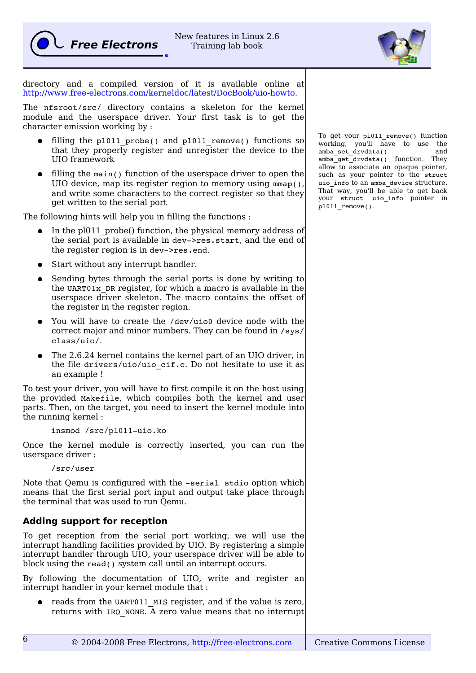



directory and a compiled version of it is available online at [http://www.free-electrons.com/kerneldoc/latest/DocBook/uio-howto.](http://www.free-electrons.com/kerneldoc/latest/DocBook/uio-howto)

The nfsroot/src/ directory contains a skeleton for the kernel module and the userspace driver. Your first task is to get the character emission working by :

- filling the pl011 probe() and pl011 remove() functions so that they properly register and unregister the device to the UIO framework
- filling the main() function of the userspace driver to open the UIO device, map its register region to memory using mmap(), and write some characters to the correct register so that they get written to the serial port

The following hints will help you in filling the functions :

- In the pl011 probe() function, the physical memory address of the serial port is available in dev->res.start, and the end of the register region is in dev->res.end.
- Start without any interrupt handler.
- Sending bytes through the serial ports is done by writing to the UART01x\_DR register, for which a macro is available in the userspace driver skeleton. The macro contains the offset of the register in the register region.
- You will have to create the /dev/uio0 device node with the correct major and minor numbers. They can be found in /sys/ class/uio/.
- The 2.6.24 kernel contains the kernel part of an UIO driver, in the file drivers/uio/uio cif.c. Do not hesitate to use it as an example !

To test your driver, you will have to first compile it on the host using the provided Makefile, which compiles both the kernel and user parts. Then, on the target, you need to insert the kernel module into the running kernel :

insmod /src/pl011-uio.ko

Once the kernel module is correctly inserted, you can run the userspace driver :

/src/user

6

Note that Qemu is configured with the -serial stdio option which means that the first serial port input and output take place through the terminal that was used to run Qemu.

# **Adding support for reception**

To get reception from the serial port working, we will use the interrupt handling facilities provided by UIO. By registering a simple interrupt handler through UIO, your userspace driver will be able to block using the read() system call until an interrupt occurs.

By following the documentation of UIO, write and register an interrupt handler in your kernel module that :

• reads from the UART011 MIS register, and if the value is zero, returns with IRQ\_NONE. A zero value means that no interrupt To get your pl011\_remove() function working, you'll have to use the amba\_set\_drvdata() and amba qet drvdata() function. They allow to associate an opaque pointer, such as your pointer to the struct uio\_info to an amba\_device structure. That way, you'll be able to get back your struct uio\_info pointer in pl011 remove().